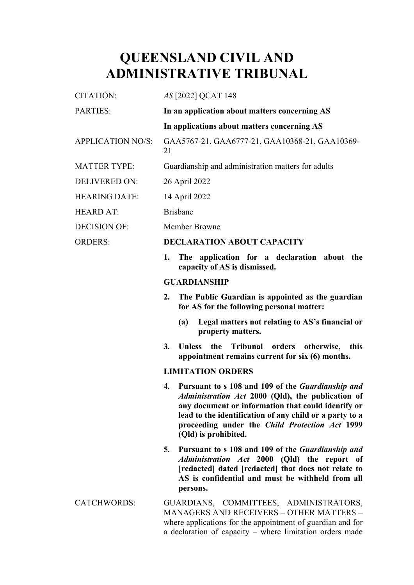## **QUEENSLAND CIVIL AND ADMINISTRATIVE TRIBUNAL**

| <b>CITATION:</b>         | <i>AS</i> [2022] QCAT 148                                                                                                                                                                                                                                                                                      |
|--------------------------|----------------------------------------------------------------------------------------------------------------------------------------------------------------------------------------------------------------------------------------------------------------------------------------------------------------|
| PARTIES:                 | In an application about matters concerning AS                                                                                                                                                                                                                                                                  |
|                          | In applications about matters concerning AS                                                                                                                                                                                                                                                                    |
| <b>APPLICATION NO/S:</b> | GAA5767-21, GAA6777-21, GAA10368-21, GAA10369-<br>21                                                                                                                                                                                                                                                           |
| <b>MATTER TYPE:</b>      | Guardianship and administration matters for adults                                                                                                                                                                                                                                                             |
| <b>DELIVERED ON:</b>     | 26 April 2022                                                                                                                                                                                                                                                                                                  |
| <b>HEARING DATE:</b>     | 14 April 2022                                                                                                                                                                                                                                                                                                  |
| <b>HEARD AT:</b>         | <b>Brisbane</b>                                                                                                                                                                                                                                                                                                |
| <b>DECISION OF:</b>      | Member Browne                                                                                                                                                                                                                                                                                                  |
| <b>ORDERS:</b>           | <b>DECLARATION ABOUT CAPACITY</b>                                                                                                                                                                                                                                                                              |
|                          | The application for a declaration about the<br>1.<br>capacity of AS is dismissed.                                                                                                                                                                                                                              |
|                          | <b>GUARDIANSHIP</b>                                                                                                                                                                                                                                                                                            |
|                          | The Public Guardian is appointed as the guardian<br>2.<br>for AS for the following personal matter:                                                                                                                                                                                                            |
|                          | Legal matters not relating to AS's financial or<br>(a)<br>property matters.                                                                                                                                                                                                                                    |
|                          | 3.<br>Tribunal<br><b>Unless</b><br>the<br>orders<br>otherwise,<br>this<br>appointment remains current for six (6) months.                                                                                                                                                                                      |
|                          | <b>LIMITATION ORDERS</b>                                                                                                                                                                                                                                                                                       |
|                          | Pursuant to s 108 and 109 of the <i>Guardianship and</i><br>4.<br>Administration Act 2000 (Qld), the publication of<br>any document or information that could identify or<br>lead to the identification of any child or a party to a<br>proceeding under the Child Protection Act 1999<br>(Qld) is prohibited. |
|                          | 5.<br>Pursuant to s 108 and 109 of the <i>Guardianship and</i><br>Administration Act 2000 (Qld) the report of<br>[redacted] dated [redacted] that does not relate to<br>AS is confidential and must be withheld from all<br>persons.                                                                           |
| <b>CATCHWORDS:</b>       | GUARDIANS, COMMITTEES, ADMINISTRATORS,<br><b>MANAGERS AND RECEIVERS - OTHER MATTERS -</b><br>where applications for the appointment of guardian and for                                                                                                                                                        |

a declaration of capacity – where limitation orders made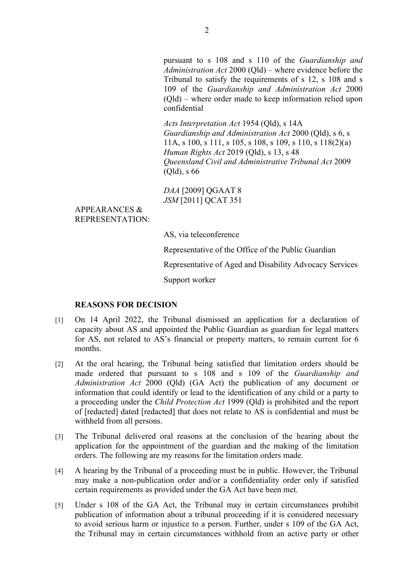pursuant to s 108 and s 110 of the *Guardianship and Administration Act* 2000 (Qld) – where evidence before the Tribunal to satisfy the requirements of s 12, s 108 and s 109 of the *Guardianship and Administration Act* 2000 (Qld) – where order made to keep information relied upon confidential

*Acts Interpretation Act* 1954 (Qld), s 14A *Guardianship and Administration Act* 2000 (Qld), s 6, s 11A, s 100, s 111, s 105, s 108, s 109, s 110, s 118(2)(a) *Human Rights Act* 2019 (Qld), s 13, s 48 *Queensland Civil and Administrative Tribunal Act* 2009 (Qld), s 66

*DAA* [2009] QGAAT 8 *JSM* [2011] QCAT 351

APPEARANCES & REPRESENTATION:

AS, via teleconference

Representative of the Office of the Public Guardian

Representative of Aged and Disability Advocacy Services

Support worker

## **REASONS FOR DECISION**

- [1] On 14 April 2022, the Tribunal dismissed an application for a declaration of capacity about AS and appointed the Public Guardian as guardian for legal matters for AS, not related to AS's financial or property matters, to remain current for 6 months.
- [2] At the oral hearing, the Tribunal being satisfied that limitation orders should be made ordered that pursuant to s 108 and s 109 of the *Guardianship and Administration Act* 2000 (Qld) (GA Act) the publication of any document or information that could identify or lead to the identification of any child or a party to a proceeding under the *Child Protection Act* 1999 (Qld) is prohibited and the report of [redacted] dated [redacted] that does not relate to AS is confidential and must be withheld from all persons.
- [3] The Tribunal delivered oral reasons at the conclusion of the hearing about the application for the appointment of the guardian and the making of the limitation orders. The following are my reasons for the limitation orders made.
- [4] A hearing by the Tribunal of a proceeding must be in public. However, the Tribunal may make a non-publication order and/or a confidentiality order only if satisfied certain requirements as provided under the GA Act have been met.
- [5] Under s 108 of the GA Act, the Tribunal may in certain circumstances prohibit publication of information about a tribunal proceeding if it is considered necessary to avoid serious harm or injustice to a person. Further, under s 109 of the GA Act, the Tribunal may in certain circumstances withhold from an active party or other